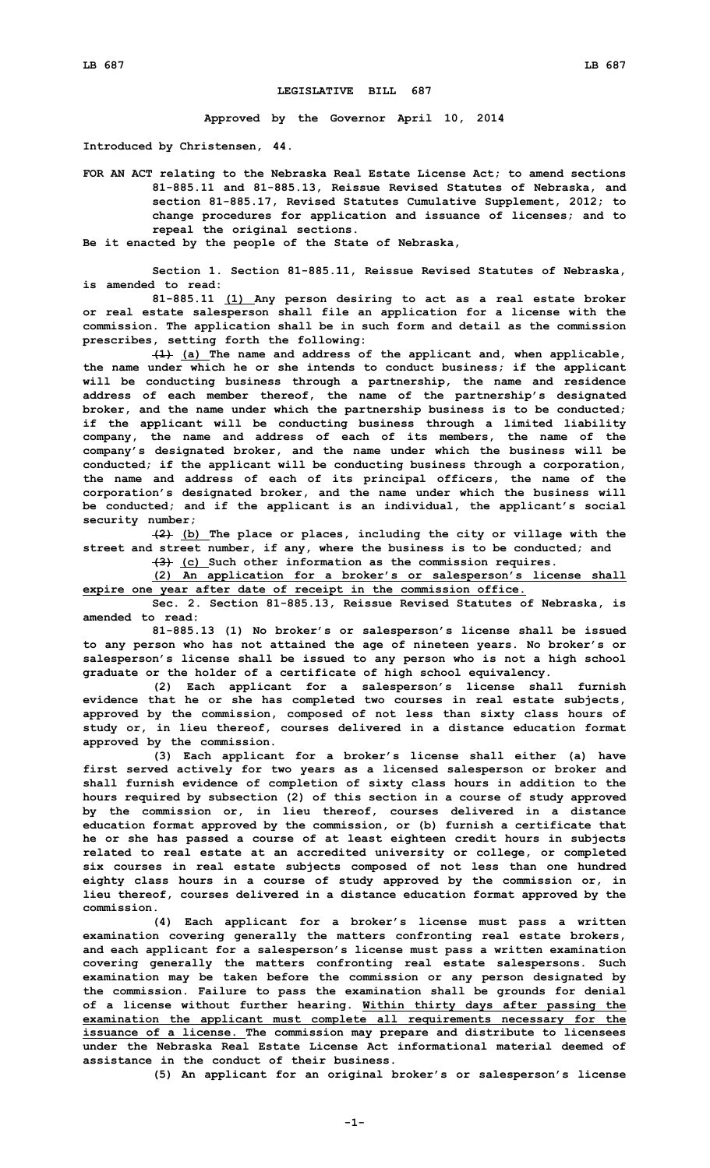## **LEGISLATIVE BILL 687**

**Approved by the Governor April 10, 2014**

**Introduced by Christensen, 44.**

**FOR AN ACT relating to the Nebraska Real Estate License Act; to amend sections 81-885.11 and 81-885.13, Reissue Revised Statutes of Nebraska, and section 81-885.17, Revised Statutes Cumulative Supplement, 2012; to change procedures for application and issuance of licenses; and to repeal the original sections.**

**Be it enacted by the people of the State of Nebraska,**

**Section 1. Section 81-885.11, Reissue Revised Statutes of Nebraska, is amended to read:**

**81-885.11 (1) Any person desiring to act as <sup>a</sup> real estate broker or real estate salesperson shall file an application for <sup>a</sup> license with the commission. The application shall be in such form and detail as the commission prescribes, setting forth the following:**

**(1) (a) The name and address of the applicant and, when applicable, the name under which he or she intends to conduct business; if the applicant will be conducting business through <sup>a</sup> partnership, the name and residence address of each member thereof, the name of the partnership's designated broker, and the name under which the partnership business is to be conducted; if the applicant will be conducting business through <sup>a</sup> limited liability company, the name and address of each of its members, the name of the company's designated broker, and the name under which the business will be conducted; if the applicant will be conducting business through <sup>a</sup> corporation, the name and address of each of its principal officers, the name of the corporation's designated broker, and the name under which the business will be conducted; and if the applicant is an individual, the applicant's social security number;**

**(2) (b) The place or places, including the city or village with the street and street number, if any, where the business is to be conducted; and**

**(3) (c) Such other information as the commission requires.**

**(2) An application for <sup>a</sup> broker's or salesperson's license shall expire one year after date of receipt in the commission office.**

**Sec. 2. Section 81-885.13, Reissue Revised Statutes of Nebraska, is amended to read:**

**81-885.13 (1) No broker's or salesperson's license shall be issued to any person who has not attained the age of nineteen years. No broker's or salesperson's license shall be issued to any person who is not <sup>a</sup> high school graduate or the holder of <sup>a</sup> certificate of high school equivalency.**

**(2) Each applicant for <sup>a</sup> salesperson's license shall furnish evidence that he or she has completed two courses in real estate subjects, approved by the commission, composed of not less than sixty class hours of study or, in lieu thereof, courses delivered in <sup>a</sup> distance education format approved by the commission.**

**(3) Each applicant for <sup>a</sup> broker's license shall either (a) have first served actively for two years as <sup>a</sup> licensed salesperson or broker and shall furnish evidence of completion of sixty class hours in addition to the hours required by subsection (2) of this section in <sup>a</sup> course of study approved by the commission or, in lieu thereof, courses delivered in <sup>a</sup> distance education format approved by the commission, or (b) furnish <sup>a</sup> certificate that he or she has passed <sup>a</sup> course of at least eighteen credit hours in subjects related to real estate at an accredited university or college, or completed six courses in real estate subjects composed of not less than one hundred eighty class hours in <sup>a</sup> course of study approved by the commission or, in lieu thereof, courses delivered in <sup>a</sup> distance education format approved by the commission.**

**(4) Each applicant for <sup>a</sup> broker's license must pass <sup>a</sup> written examination covering generally the matters confronting real estate brokers, and each applicant for <sup>a</sup> salesperson's license must pass <sup>a</sup> written examination covering generally the matters confronting real estate salespersons. Such examination may be taken before the commission or any person designated by the commission. Failure to pass the examination shall be grounds for denial of <sup>a</sup> license without further hearing. Within thirty days after passing the examination the applicant must complete all requirements necessary for the issuance of <sup>a</sup> license. The commission may prepare and distribute to licensees under the Nebraska Real Estate License Act informational material deemed of assistance in the conduct of their business.**

**(5) An applicant for an original broker's or salesperson's license**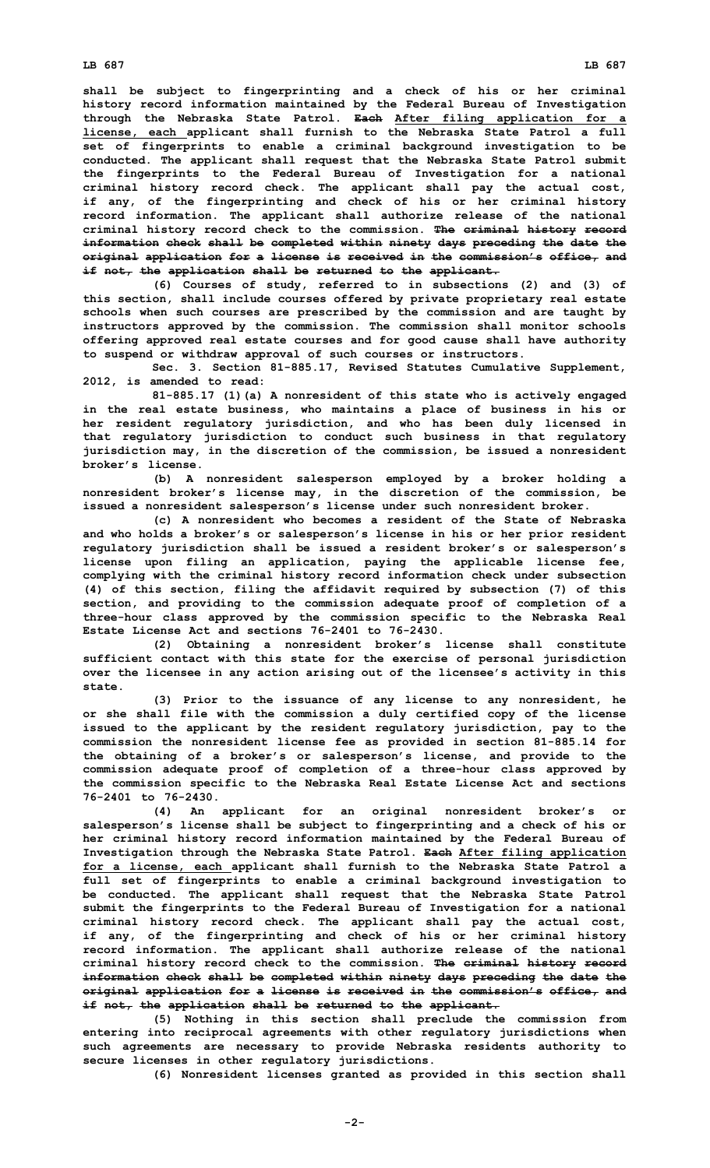**shall be subject to fingerprinting and <sup>a</sup> check of his or her criminal history record information maintained by the Federal Bureau of Investigation through the Nebraska State Patrol. Each After filing application for <sup>a</sup> license, each applicant shall furnish to the Nebraska State Patrol <sup>a</sup> full set of fingerprints to enable <sup>a</sup> criminal background investigation to be conducted. The applicant shall request that the Nebraska State Patrol submit the fingerprints to the Federal Bureau of Investigation for <sup>a</sup> national criminal history record check. The applicant shall pay the actual cost, if any, of the fingerprinting and check of his or her criminal history record information. The applicant shall authorize release of the national criminal history record check to the commission. The criminal history record information check shall be completed within ninety days preceding the date the original application for <sup>a</sup> license is received in the commission's office, and if not, the application shall be returned to the applicant.**

**(6) Courses of study, referred to in subsections (2) and (3) of this section, shall include courses offered by private proprietary real estate schools when such courses are prescribed by the commission and are taught by instructors approved by the commission. The commission shall monitor schools offering approved real estate courses and for good cause shall have authority to suspend or withdraw approval of such courses or instructors.**

**Sec. 3. Section 81-885.17, Revised Statutes Cumulative Supplement, 2012, is amended to read:**

**81-885.17 (1)(a) <sup>A</sup> nonresident of this state who is actively engaged in the real estate business, who maintains <sup>a</sup> place of business in his or her resident regulatory jurisdiction, and who has been duly licensed in that regulatory jurisdiction to conduct such business in that regulatory jurisdiction may, in the discretion of the commission, be issued <sup>a</sup> nonresident broker's license.**

**(b) <sup>A</sup> nonresident salesperson employed by <sup>a</sup> broker holding <sup>a</sup> nonresident broker's license may, in the discretion of the commission, be issued <sup>a</sup> nonresident salesperson's license under such nonresident broker.**

**(c) A nonresident who becomes <sup>a</sup> resident of the State of Nebraska and who holds <sup>a</sup> broker's or salesperson's license in his or her prior resident regulatory jurisdiction shall be issued <sup>a</sup> resident broker's or salesperson's license upon filing an application, paying the applicable license fee, complying with the criminal history record information check under subsection (4) of this section, filing the affidavit required by subsection (7) of this section, and providing to the commission adequate proof of completion of <sup>a</sup> three-hour class approved by the commission specific to the Nebraska Real Estate License Act and sections 76-2401 to 76-2430.**

**(2) Obtaining <sup>a</sup> nonresident broker's license shall constitute sufficient contact with this state for the exercise of personal jurisdiction over the licensee in any action arising out of the licensee's activity in this state.**

**(3) Prior to the issuance of any license to any nonresident, he or she shall file with the commission <sup>a</sup> duly certified copy of the license issued to the applicant by the resident regulatory jurisdiction, pay to the commission the nonresident license fee as provided in section 81-885.14 for the obtaining of <sup>a</sup> broker's or salesperson's license, and provide to the commission adequate proof of completion of <sup>a</sup> three-hour class approved by the commission specific to the Nebraska Real Estate License Act and sections 76-2401 to 76-2430.**

**(4) An applicant for an original nonresident broker's or salesperson's license shall be subject to fingerprinting and <sup>a</sup> check of his or her criminal history record information maintained by the Federal Bureau of Investigation through the Nebraska State Patrol. Each After filing application for <sup>a</sup> license, each applicant shall furnish to the Nebraska State Patrol <sup>a</sup> full set of fingerprints to enable <sup>a</sup> criminal background investigation to be conducted. The applicant shall request that the Nebraska State Patrol submit the fingerprints to the Federal Bureau of Investigation for <sup>a</sup> national criminal history record check. The applicant shall pay the actual cost, if any, of the fingerprinting and check of his or her criminal history record information. The applicant shall authorize release of the national criminal history record check to the commission. The criminal history record information check shall be completed within ninety days preceding the date the original application for <sup>a</sup> license is received in the commission's office, and if not, the application shall be returned to the applicant.**

**(5) Nothing in this section shall preclude the commission from entering into reciprocal agreements with other regulatory jurisdictions when such agreements are necessary to provide Nebraska residents authority to secure licenses in other regulatory jurisdictions.**

**(6) Nonresident licenses granted as provided in this section shall**